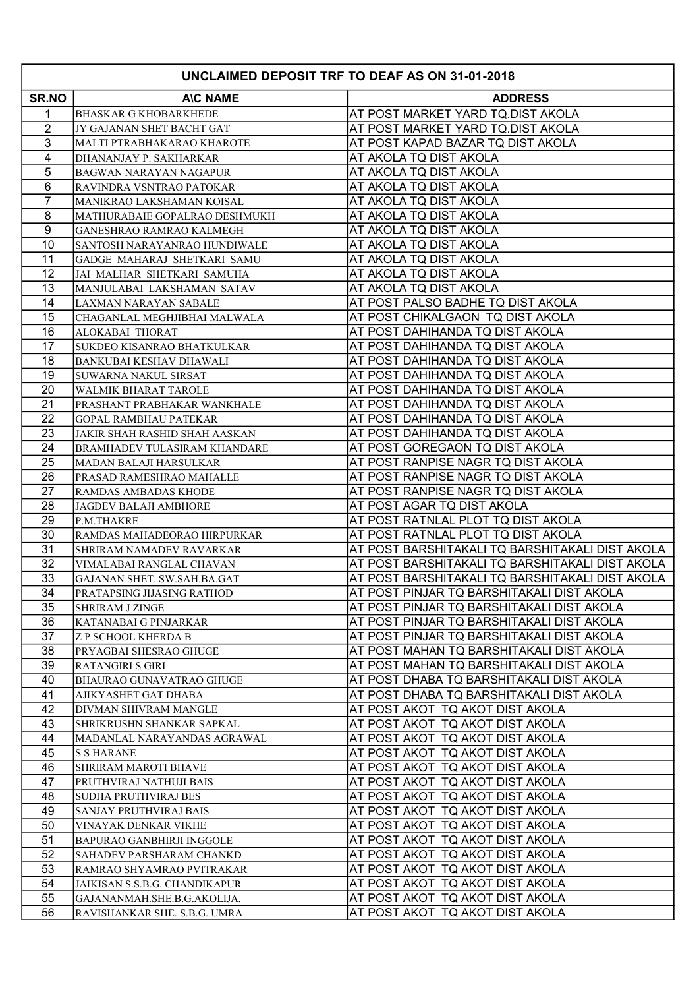| <b>UNCLAIMED DEPOSIT TRF TO DEAF AS ON 31-01-2018</b> |                                                      |                                                                                        |  |
|-------------------------------------------------------|------------------------------------------------------|----------------------------------------------------------------------------------------|--|
| <b>SR.NO</b>                                          | <b>AIC NAME</b>                                      | <b>ADDRESS</b>                                                                         |  |
| 1                                                     | BHASKAR G KHOBARKHEDE                                | AT POST MARKET YARD TQ.DIST AKOLA                                                      |  |
| $\overline{2}$                                        | JY GAJANAN SHET BACHT GAT                            | AT POST MARKET YARD TQ.DIST AKOLA                                                      |  |
| 3                                                     | MALTI PTRABHAKARAO KHAROTE                           | AT POST KAPAD BAZAR TQ DIST AKOLA                                                      |  |
| $\overline{4}$                                        | DHANANJAY P. SAKHARKAR                               | AT AKOLA TQ DIST AKOLA                                                                 |  |
| 5                                                     | <b>BAGWAN NARAYAN NAGAPUR</b>                        | AT AKOLA TQ DIST AKOLA                                                                 |  |
| 6                                                     | RAVINDRA VSNTRAO PATOKAR                             | AT AKOLA TQ DIST AKOLA                                                                 |  |
| $\overline{7}$                                        | MANIKRAO LAKSHAMAN KOISAL                            | AT AKOLA TQ DIST AKOLA                                                                 |  |
| 8                                                     | MATHURABAIE GOPALRAO DESHMUKH                        | AT AKOLA TQ DIST AKOLA                                                                 |  |
| $\boldsymbol{9}$                                      | <b>GANESHRAO RAMRAO KALMEGH</b>                      | AT AKOLA TQ DIST AKOLA                                                                 |  |
| 10                                                    | SANTOSH NARAYANRAO HUNDIWALE                         | AT AKOLA TQ DIST AKOLA                                                                 |  |
| 11                                                    | GADGE MAHARAJ SHETKARI SAMU                          | AT AKOLA TQ DIST AKOLA                                                                 |  |
| 12                                                    | JAI MALHAR SHETKARI SAMUHA                           | AT AKOLA TQ DIST AKOLA                                                                 |  |
| 13                                                    | MANJULABAI LAKSHAMAN SATAV                           | AT AKOLA TQ DIST AKOLA                                                                 |  |
| 14                                                    | LAXMAN NARAYAN SABALE                                | AT POST PALSO BADHE TQ DIST AKOLA                                                      |  |
| 15                                                    | CHAGANLAL MEGHJIBHAI MALWALA                         | AT POST CHIKALGAON TQ DIST AKOLA                                                       |  |
| 16                                                    | ALOKABAI THORAT                                      | AT POST DAHIHANDA TQ DIST AKOLA                                                        |  |
| 17                                                    | <b>SUKDEO KISANRAO BHATKULKAR</b>                    | AT POST DAHIHANDA TQ DIST AKOLA                                                        |  |
| 18                                                    | <b>BANKUBAI KESHAV DHAWALI</b>                       | AT POST DAHIHANDA TQ DIST AKOLA                                                        |  |
| 19                                                    | <b>SUWARNA NAKUL SIRSAT</b>                          | AT POST DAHIHANDA TQ DIST AKOLA                                                        |  |
| 20                                                    | <b>WALMIK BHARAT TAROLE</b>                          | AT POST DAHIHANDA TQ DIST AKOLA                                                        |  |
| 21                                                    | PRASHANT PRABHAKAR WANKHALE                          | AT POST DAHIHANDA TQ DIST AKOLA                                                        |  |
| 22                                                    | <b>GOPAL RAMBHAU PATEKAR</b>                         | AT POST DAHIHANDA TQ DIST AKOLA                                                        |  |
| 23                                                    | <b>JAKIR SHAH RASHID SHAH AASKAN</b>                 | AT POST DAHIHANDA TQ DIST AKOLA                                                        |  |
| 24                                                    | BRAMHADEV TULASIRAM KHANDARE                         | AT POST GOREGAON TQ DIST AKOLA                                                         |  |
| 25                                                    | MADAN BALAJI HARSULKAR                               | AT POST RANPISE NAGR TQ DIST AKOLA                                                     |  |
| 26                                                    | PRASAD RAMESHRAO MAHALLE                             | AT POST RANPISE NAGR TQ DIST AKOLA                                                     |  |
| 27                                                    | RAMDAS AMBADAS KHODE                                 | AT POST RANPISE NAGR TQ DIST AKOLA                                                     |  |
| 28                                                    | <b>JAGDEV BALAJI AMBHORE</b>                         | AT POST AGAR TQ DIST AKOLA                                                             |  |
| 29                                                    | P.M.THAKRE                                           | AT POST RATNLAL PLOT TQ DIST AKOLA                                                     |  |
| 30                                                    | RAMDAS MAHADEORAO HIRPURKAR                          | AT POST RATNLAL PLOT TQ DIST AKOLA                                                     |  |
| 31                                                    | SHRIRAM NAMADEV RAVARKAR                             | AT POST BARSHITAKALI TQ BARSHITAKALI DIST AKOLA                                        |  |
| 32                                                    | VIMALABAI RANGLAL CHAVAN                             | AT POST BARSHITAKALI TQ BARSHITAKALI DIST AKOLA                                        |  |
| 33                                                    | GAJANAN SHET. SW.SAH.BA.GAT                          | AT POST BARSHITAKALI TQ BARSHITAKALI DIST AKOLA                                        |  |
| $\overline{34}$                                       | PRATAPSING JIJASING RATHOD                           | AT POST PINJAR TQ BARSHITAKALI DIST AKOLA                                              |  |
| 35<br>36                                              | <b>SHRIRAM J ZINGE</b>                               | AT POST PINJAR TQ BARSHITAKALI DIST AKOLA<br>AT POST PINJAR TQ BARSHITAKALI DIST AKOLA |  |
| 37                                                    | KATANABAI G PINJARKAR                                | AT POST PINJAR TQ BARSHITAKALI DIST AKOLA                                              |  |
| 38                                                    | <b>Z P SCHOOL KHERDA B</b><br>PRYAGBAI SHESRAO GHUGE | AT POST MAHAN TQ BARSHITAKALI DIST AKOLA                                               |  |
| 39                                                    | <b>RATANGIRI S GIRI</b>                              | AT POST MAHAN TQ BARSHITAKALI DIST AKOLA                                               |  |
| 40                                                    | BHAURAO GUNAVATRAO GHUGE                             | AT POST DHABA TQ BARSHITAKALI DIST AKOLA                                               |  |
| 41                                                    | AJIKYASHET GAT DHABA                                 | AT POST DHABA TQ BARSHITAKALI DIST AKOLA                                               |  |
| 42                                                    | DIVMAN SHIVRAM MANGLE                                | AT POST AKOT TQ AKOT DIST AKOLA                                                        |  |
| 43                                                    | SHRIKRUSHN SHANKAR SAPKAL                            | AT POST AKOT TQ AKOT DIST AKOLA                                                        |  |
| 44                                                    | MADANLAL NARAYANDAS AGRAWAL                          | AT POST AKOT TQ AKOT DIST AKOLA                                                        |  |
| 45                                                    | <b>S S HARANE</b>                                    | AT POST AKOT TQ AKOT DIST AKOLA                                                        |  |
| 46                                                    | SHRIRAM MAROTI BHAVE                                 | AT POST AKOT TQ AKOT DIST AKOLA                                                        |  |
| 47                                                    | PRUTHVIRAJ NATHUJI BAIS                              | AT POST AKOT TQ AKOT DIST AKOLA                                                        |  |
| 48                                                    | SUDHA PRUTHVIRAJ BES                                 | AT POST AKOT TQ AKOT DIST AKOLA                                                        |  |
| 49                                                    | SANJAY PRUTHVIRAJ BAIS                               | AT POST AKOT TQ AKOT DIST AKOLA                                                        |  |
| 50                                                    | VINAYAK DENKAR VIKHE                                 | AT POST AKOT TQ AKOT DIST AKOLA                                                        |  |
| 51                                                    | <b>BAPURAO GANBHIRJI INGGOLE</b>                     | AT POST AKOT TQ AKOT DIST AKOLA                                                        |  |
| 52                                                    | SAHADEV PARSHARAM CHANKD                             | AT POST AKOT TQ AKOT DIST AKOLA                                                        |  |
| 53                                                    | RAMRAO SHYAMRAO PVITRAKAR                            | AT POST AKOT TQ AKOT DIST AKOLA                                                        |  |
| 54                                                    | JAIKISAN S.S.B.G. CHANDIKAPUR                        | AT POST AKOT TQ AKOT DIST AKOLA                                                        |  |
| 55                                                    | GAJANANMAH.SHE.B.G.AKOLIJA.                          | AT POST AKOT TQ AKOT DIST AKOLA                                                        |  |
| 56                                                    | RAVISHANKAR SHE. S.B.G. UMRA                         | AT POST AKOT TQ AKOT DIST AKOLA                                                        |  |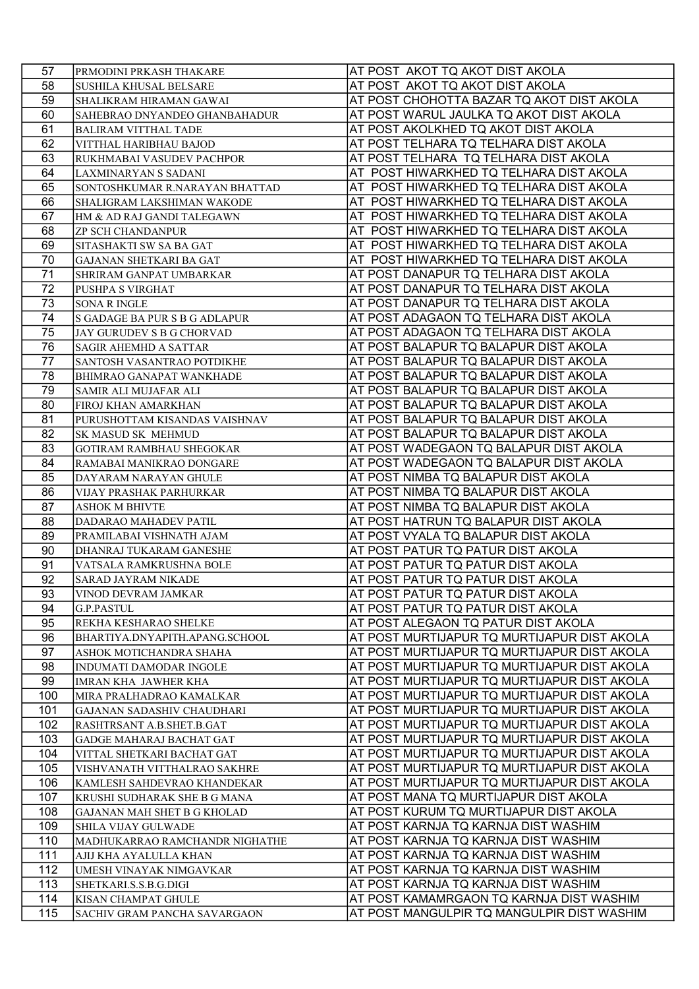| 57  | PRMODINI PRKASH THAKARE             | AT POST AKOT TQ AKOT DIST AKOLA             |
|-----|-------------------------------------|---------------------------------------------|
| 58  | <b>SUSHILA KHUSAL BELSARE</b>       | AT POST AKOT TQ AKOT DIST AKOLA             |
| 59  | SHALIKRAM HIRAMAN GAWAI             | AT POST CHOHOTTA BAZAR TQ AKOT DIST AKOLA   |
| 60  | SAHEBRAO DNYANDEO GHANBAHADUR       | AT POST WARUL JAULKA TQ AKOT DIST AKOLA     |
| 61  | <b>BALIRAM VITTHAL TADE</b>         | AT POST AKOLKHED TQ AKOT DIST AKOLA         |
| 62  | VITTHAL HARIBHAU BAJOD              | AT POST TELHARA TQ TELHARA DIST AKOLA       |
| 63  | RUKHMABAI VASUDEV PACHPOR           | AT POST TELHARA TQ TELHARA DIST AKOLA       |
| 64  | LAXMINARYAN S SADANI                | AT POST HIWARKHED TQ TELHARA DIST AKOLA     |
| 65  | SONTOSHKUMAR R.NARAYAN BHATTAD      | AT POST HIWARKHED TQ TELHARA DIST AKOLA     |
| 66  | <b>SHALIGRAM LAKSHIMAN WAKODE</b>   | AT POST HIWARKHED TQ TELHARA DIST AKOLA     |
| 67  | HM & AD RAJ GANDI TALEGAWN          | AT POST HIWARKHED TQ TELHARA DIST AKOLA     |
| 68  | <b>ZP SCH CHANDANPUR</b>            | AT POST HIWARKHED TQ TELHARA DIST AKOLA     |
| 69  | SITASHAKTI SW SA BA GAT             | AT POST HIWARKHED TQ TELHARA DIST AKOLA     |
| 70  | GAJANAN SHETKARI BA GAT             | AT POST HIWARKHED TQ TELHARA DIST AKOLA     |
| 71  |                                     | AT POST DANAPUR TQ TELHARA DIST AKOLA       |
| 72  | SHRIRAM GANPAT UMBARKAR             | AT POST DANAPUR TQ TELHARA DIST AKOLA       |
| 73  | PUSHPA S VIRGHAT                    |                                             |
|     | <b>SONA R INGLE</b>                 | AT POST DANAPUR TQ TELHARA DIST AKOLA       |
| 74  | S GADAGE BA PUR S B G ADLAPUR       | AT POST ADAGAON TQ TELHARA DIST AKOLA       |
| 75  | JAY GURUDEV S B G CHORVAD           | AT POST ADAGAON TQ TELHARA DIST AKOLA       |
| 76  | SAGIR AHEMHD A SATTAR               | AT POST BALAPUR TQ BALAPUR DIST AKOLA       |
| 77  | SANTOSH VASANTRAO POTDIKHE          | AT POST BALAPUR TQ BALAPUR DIST AKOLA       |
| 78  | BHIMRAO GANAPAT WANKHADE            | AT POST BALAPUR TQ BALAPUR DIST AKOLA       |
| 79  | SAMIR ALI MUJAFAR ALI               | AT POST BALAPUR TQ BALAPUR DIST AKOLA       |
| 80  | FIROJ KHAN AMARKHAN                 | AT POST BALAPUR TQ BALAPUR DIST AKOLA       |
| 81  | PURUSHOTTAM KISANDAS VAISHNAV       | AT POST BALAPUR TQ BALAPUR DIST AKOLA       |
| 82  | <b>SK MASUD SK MEHMUD</b>           | AT POST BALAPUR TQ BALAPUR DIST AKOLA       |
| 83  | <b>GOTIRAM RAMBHAU SHEGOKAR</b>     | AT POST WADEGAON TQ BALAPUR DIST AKOLA      |
| 84  | RAMABAI MANIKRAO DONGARE            | AT POST WADEGAON TQ BALAPUR DIST AKOLA      |
| 85  | DAYARAM NARAYAN GHULE               | AT POST NIMBA TQ BALAPUR DIST AKOLA         |
| 86  | VIJAY PRASHAK PARHURKAR             | AT POST NIMBA TQ BALAPUR DIST AKOLA         |
| 87  | <b>ASHOK M BHIVTE</b>               | AT POST NIMBA TQ BALAPUR DIST AKOLA         |
| 88  | <b>DADARAO MAHADEV PATIL</b>        | AT POST HATRUN TQ BALAPUR DIST AKOLA        |
| 89  | PRAMILABAI VISHNATH AJAM            | AT POST VYALA TQ BALAPUR DIST AKOLA         |
| 90  | DHANRAJ TUKARAM GANESHE             | AT POST PATUR TQ PATUR DIST AKOLA           |
| 91  | VATSALA RAMKRUSHNA BOLE             | AT POST PATUR TQ PATUR DIST AKOLA           |
| 92  | SARAD JAYRAM NIKADE                 | AT POST PATUR TQ PATUR DIST AKOLA           |
| 93  | VINOD DEVRAM JAMKAR                 | AT POST PATUR TQ PATUR DIST AKOLA           |
| 94  | <b>G.P.PASTUL</b>                   | AT POST PATUR TQ PATUR DIST AKOLA           |
| 95  | REKHA KESHARAO SHELKE               | AT POST ALEGAON TQ PATUR DIST AKOLA         |
| 96  | BHARTIYA.DNYAPITH.APANG.SCHOOL      | AT POST MURTIJAPUR TQ MURTIJAPUR DIST AKOLA |
| 97  | ASHOK MOTICHANDRA SHAHA             | AT POST MURTIJAPUR TQ MURTIJAPUR DIST AKOLA |
| 98  | <b>INDUMATI DAMODAR INGOLE</b>      | AT POST MURTIJAPUR TQ MURTIJAPUR DIST AKOLA |
| 99  | <b>IMRAN KHA JAWHER KHA</b>         | AT POST MURTIJAPUR TQ MURTIJAPUR DIST AKOLA |
| 100 | MIRA PRALHADRAO KAMALKAR            | AT POST MURTIJAPUR TQ MURTIJAPUR DIST AKOLA |
| 101 | <b>GAJANAN SADASHIV CHAUDHARI</b>   | AT POST MURTIJAPUR TQ MURTIJAPUR DIST AKOLA |
| 102 | RASHTRSANT A.B.SHET.B.GAT           | AT POST MURTIJAPUR TQ MURTIJAPUR DIST AKOLA |
| 103 | GADGE MAHARAJ BACHAT GAT            | AT POST MURTIJAPUR TQ MURTIJAPUR DIST AKOLA |
| 104 | VITTAL SHETKARI BACHAT GAT          | AT POST MURTIJAPUR TQ MURTIJAPUR DIST AKOLA |
| 105 | VISHVANATH VITTHALRAO SAKHRE        | AT POST MURTIJAPUR TQ MURTIJAPUR DIST AKOLA |
| 106 | KAMLESH SAHDEVRAO KHANDEKAR         | AT POST MURTIJAPUR TQ MURTIJAPUR DIST AKOLA |
| 107 | KRUSHI SUDHARAK SHE B G MANA        | AT POST MANA TQ MURTIJAPUR DIST AKOLA       |
| 108 | <b>GAJANAN MAH SHET B G KHOLAD</b>  | AT POST KURUM TQ MURTIJAPUR DIST AKOLA      |
| 109 | SHILA VIJAY GULWADE                 | AT POST KARNJA TQ KARNJA DIST WASHIM        |
| 110 | MADHUKARRAO RAMCHANDR NIGHATHE      | AT POST KARNJA TQ KARNJA DIST WASHIM        |
| 111 | AJIJ KHA AYALULLA KHAN              | AT POST KARNJA TQ KARNJA DIST WASHIM        |
| 112 | UMESH VINAYAK NIMGAVKAR             | AT POST KARNJA TQ KARNJA DIST WASHIM        |
| 113 | SHETKARI.S.S.B.G.DIGI               | AT POST KARNJA TQ KARNJA DIST WASHIM        |
| 114 | KISAN CHAMPAT GHULE                 | AT POST KAMAMRGAON TQ KARNJA DIST WASHIM    |
| 115 | <b>SACHIV GRAM PANCHA SAVARGAON</b> | AT POST MANGULPIR TQ MANGULPIR DIST WASHIM  |